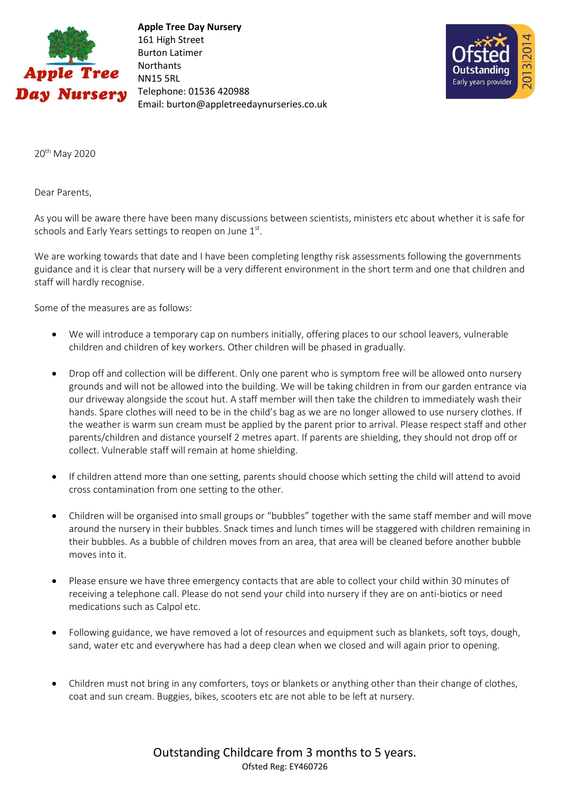

 **Apple Tree Day Nursery** 161 High Street Burton Latimer **Northants** NN15 5RL Telephone: 01536 420988 Email: burton@appletreedaynurseries.co.uk



20th May 2020

Dear Parents,

As you will be aware there have been many discussions between scientists, ministers etc about whether it is safe for schools and Early Years settings to reopen on June  $1<sup>st</sup>$ .

We are working towards that date and I have been completing lengthy risk assessments following the governments guidance and it is clear that nursery will be a very different environment in the short term and one that children and staff will hardly recognise.

Some of the measures are as follows:

- We will introduce a temporary cap on numbers initially, offering places to our school leavers, vulnerable children and children of key workers. Other children will be phased in gradually.
- Drop off and collection will be different. Only one parent who is symptom free will be allowed onto nursery grounds and will not be allowed into the building. We will be taking children in from our garden entrance via our driveway alongside the scout hut. A staff member will then take the children to immediately wash their hands. Spare clothes will need to be in the child's bag as we are no longer allowed to use nursery clothes. If the weather is warm sun cream must be applied by the parent prior to arrival. Please respect staff and other parents/children and distance yourself 2 metres apart. If parents are shielding, they should not drop off or collect. Vulnerable staff will remain at home shielding.
- If children attend more than one setting, parents should choose which setting the child will attend to avoid cross contamination from one setting to the other.
- Children will be organised into small groups or "bubbles" together with the same staff member and will move around the nursery in their bubbles. Snack times and lunch times will be staggered with children remaining in their bubbles. As a bubble of children moves from an area, that area will be cleaned before another bubble moves into it.
- Please ensure we have three emergency contacts that are able to collect your child within 30 minutes of receiving a telephone call. Please do not send your child into nursery if they are on anti-biotics or need medications such as Calpol etc.
- Following guidance, we have removed a lot of resources and equipment such as blankets, soft toys, dough, sand, water etc and everywhere has had a deep clean when we closed and will again prior to opening.
- Children must not bring in any comforters, toys or blankets or anything other than their change of clothes, coat and sun cream. Buggies, bikes, scooters etc are not able to be left at nursery.